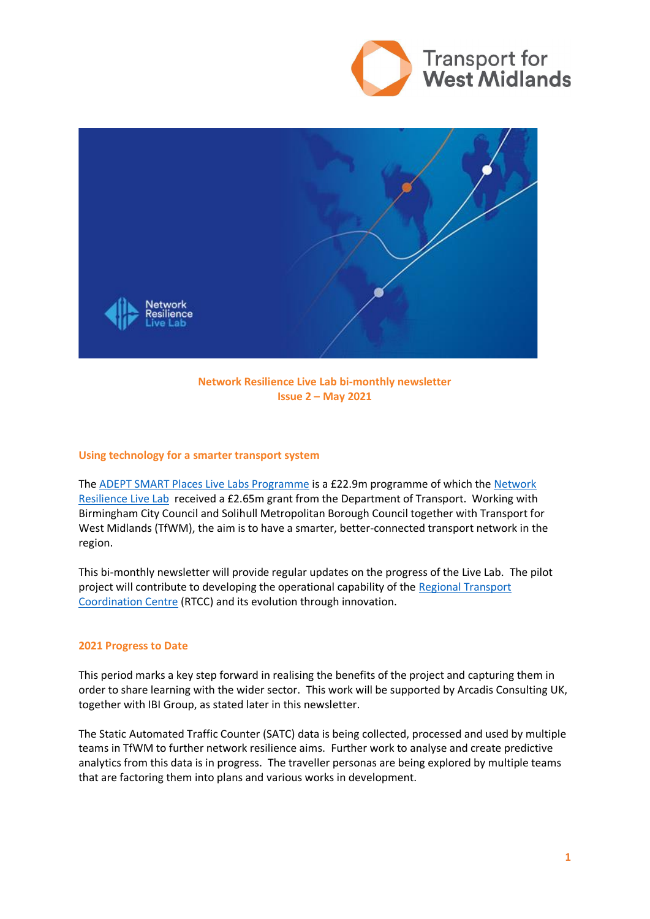



# **Network Resilience Live Lab bi-monthly newsletter Issue 2 – May 2021**

## **Using technology for a smarter transport system**

The **[ADEPT SMART Places Live Labs Programme](https://www.adeptnet.org.uk/livelabs)** is a £22.9m programme of which the **Network** [Resilience Live Lab](https://www.tfwm.org.uk/strategy/network-resilience/congestion-management-plan/network-resilience-live-lab/) received a £2.65m grant from the Department of Transport. Working with Birmingham City Council and Solihull Metropolitan Borough Council together with Transport for West Midlands (TfWM), the aim is to have a smarter, better-connected transport network in the region.

This bi-monthly newsletter will provide regular updates on the progress of the Live Lab. The pilot project will contribute to developing the operational capability of the [Regional Transport](https://www.tfwm.org.uk/strategy/network-resilience/congestion-management-plan/regional-transport-coordination-centre/#:~:text=The%20Regional%20Transport%20Coordination%20Centre,during%20major%20events%20and%20incidents.)  [Coordination Centre](https://www.tfwm.org.uk/strategy/network-resilience/congestion-management-plan/regional-transport-coordination-centre/#:~:text=The%20Regional%20Transport%20Coordination%20Centre,during%20major%20events%20and%20incidents.) (RTCC) and its evolution through innovation.

### **2021 Progress to Date**

This period marks a key step forward in realising the benefits of the project and capturing them in order to share learning with the wider sector. This work will be supported by Arcadis Consulting UK, together with IBI Group, as stated later in this newsletter.

The Static Automated Traffic Counter (SATC) data is being collected, processed and used by multiple teams in TfWM to further network resilience aims. Further work to analyse and create predictive analytics from this data is in progress. The traveller personas are being explored by multiple teams that are factoring them into plans and various works in development.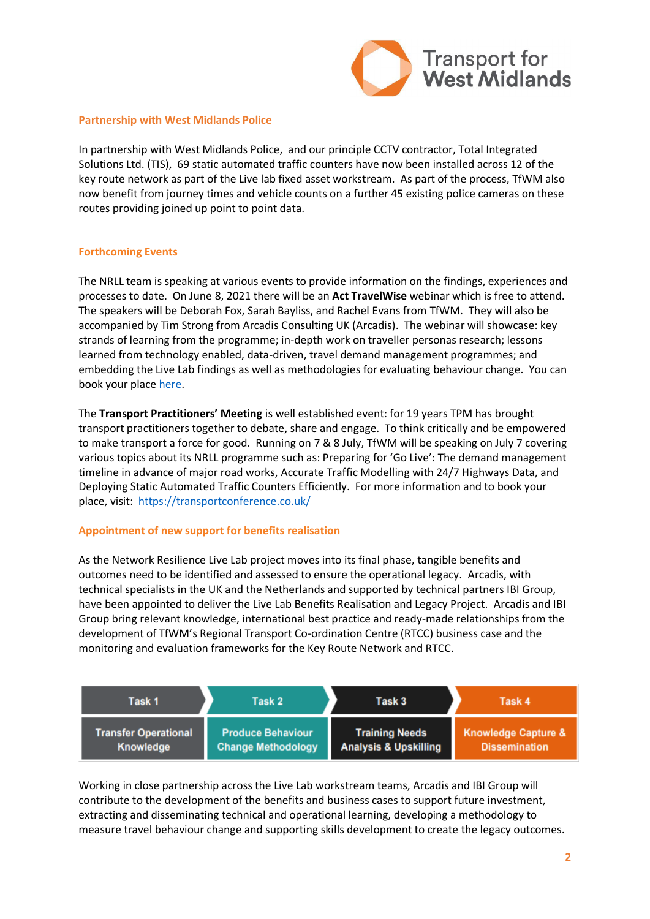

#### **Partnership with West Midlands Police**

In partnership with West Midlands Police, and our principle CCTV contractor, Total Integrated Solutions Ltd. (TIS), 69 static automated traffic counters have now been installed across 12 of the key route network as part of the Live lab fixed asset workstream. As part of the process, TfWM also now benefit from journey times and vehicle counts on a further 45 existing police cameras on these routes providing joined up point to point data.

#### **Forthcoming Events**

The NRLL team is speaking at various events to provide information on the findings, experiences and processes to date. On June 8, 2021 there will be an **Act TravelWise** webinar which is free to attend. The speakers will be Deborah Fox, Sarah Bayliss, and Rachel Evans from TfWM. They will also be accompanied by Tim Strong from Arcadis Consulting UK (Arcadis). The webinar will showcase: key strands of learning from the programme; in-depth work on traveller personas research; lessons learned from technology enabled, data-driven, travel demand management programmes; and embedding the Live Lab findings as well as methodologies for evaluating behaviour change. You can book your place [here.](https://www.eventbrite.co.uk/e/transport-for-west-midlands-network-resilience-live-lab-event-tickets-154379151197)

The **Transport Practitioners' Meeting** is well established event: for 19 years TPM has brought transport practitioners together to debate, share and engage. To think critically and be empowered to make transport a force for good. Running on 7 & 8 July, TfWM will be speaking on July 7 covering various topics about its NRLL programme such as: Preparing for 'Go Live': The demand management timeline in advance of major road works, Accurate Traffic Modelling with 24/7 Highways Data, and Deploying Static Automated Traffic Counters Efficiently. For more information and to book your place, visit: <https://transportconference.co.uk/>

### **Appointment of new support for benefits realisation**

As the Network Resilience Live Lab project moves into its final phase, tangible benefits and outcomes need to be identified and assessed to ensure the operational legacy. Arcadis, with technical specialists in the UK and the Netherlands and supported by technical partners IBI Group, have been appointed to deliver the Live Lab Benefits Realisation and Legacy Project. Arcadis and IBI Group bring relevant knowledge, international best practice and ready-made relationships from the development of TfWM's Regional Transport Co-ordination Centre (RTCC) business case and the monitoring and evaluation frameworks for the Key Route Network and RTCC.



Working in close partnership across the Live Lab workstream teams, Arcadis and IBI Group will contribute to the development of the benefits and business cases to support future investment, extracting and disseminating technical and operational learning, developing a methodology to measure travel behaviour change and supporting skills development to create the legacy outcomes.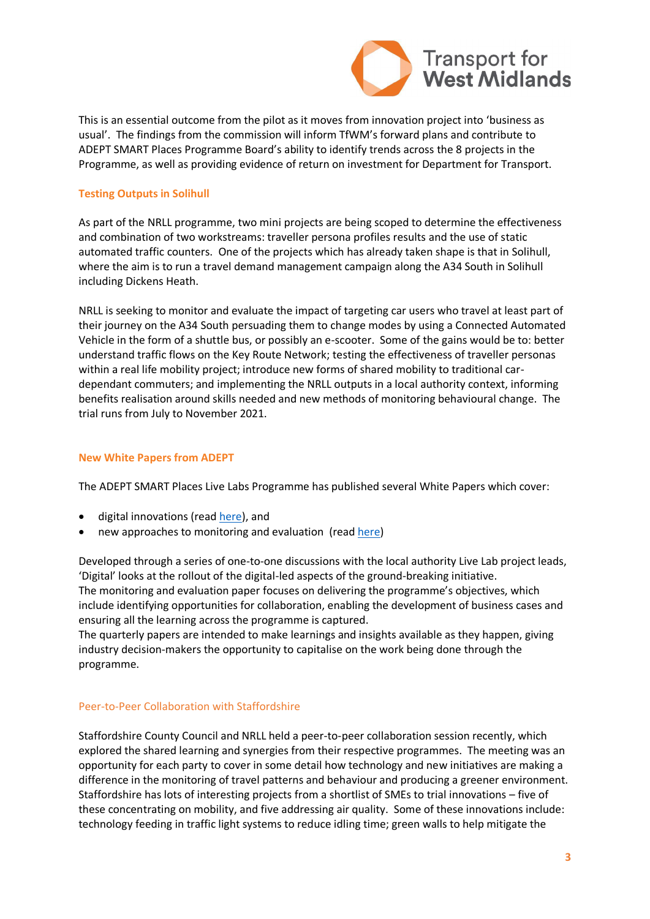

This is an essential outcome from the pilot as it moves from innovation project into 'business as usual'. The findings from the commission will inform TfWM's forward plans and contribute to ADEPT SMART Places Programme Board's ability to identify trends across the 8 projects in the Programme, as well as providing evidence of return on investment for Department for Transport.

## **Testing Outputs in Solihull**

As part of the NRLL programme, two mini projects are being scoped to determine the effectiveness and combination of two workstreams: traveller persona profiles results and the use of static automated traffic counters. One of the projects which has already taken shape is that in Solihull, where the aim is to run a travel demand management campaign along the A34 South in Solihull including Dickens Heath.

NRLL is seeking to monitor and evaluate the impact of targeting car users who travel at least part of their journey on the A34 South persuading them to change modes by using a Connected Automated Vehicle in the form of a shuttle bus, or possibly an e-scooter. Some of the gains would be to: better understand traffic flows on the Key Route Network; testing the effectiveness of traveller personas within a real life mobility project; introduce new forms of shared mobility to traditional cardependant commuters; and implementing the NRLL outputs in a local authority context, informing benefits realisation around skills needed and new methods of monitoring behavioural change. The trial runs from July to November 2021.

## **New White Papers from ADEPT**

The ADEPT SMART Places Live Labs Programme has published several White Papers which cover:

- digital innovations (read [here\)](https://www.adeptnet.org.uk/news/live-labs-digital-innovation-gains-showcased-white-paper-2), and
- new approaches to monitoring and evaluation (rea[d here\)](https://www.adeptnet.org.uk/news/live-labs-white-paper-3-%E2%80%93-new-approach-monitoring-evaluation)

Developed through a series of one-to-one discussions with the local authority Live Lab project leads, 'Digital' looks at the rollout of the digital-led aspects of the ground-breaking initiative. The monitoring and evaluation paper focuses on delivering the programme's objectives, which include identifying opportunities for collaboration, enabling the development of business cases and ensuring all the learning across the programme is captured.

The quarterly papers are intended to make learnings and insights available as they happen, giving industry decision-makers the opportunity to capitalise on the work being done through the programme.

# Peer-to-Peer Collaboration with Staffordshire

Staffordshire County Council and NRLL held a peer-to-peer collaboration session recently, which explored the shared learning and synergies from their respective programmes. The meeting was an opportunity for each party to cover in some detail how technology and new initiatives are making a difference in the monitoring of travel patterns and behaviour and producing a greener environment. Staffordshire has lots of interesting projects from a shortlist of SMEs to trial innovations – five of these concentrating on mobility, and five addressing air quality. Some of these innovations include: technology feeding in traffic light systems to reduce idling time; green walls to help mitigate the